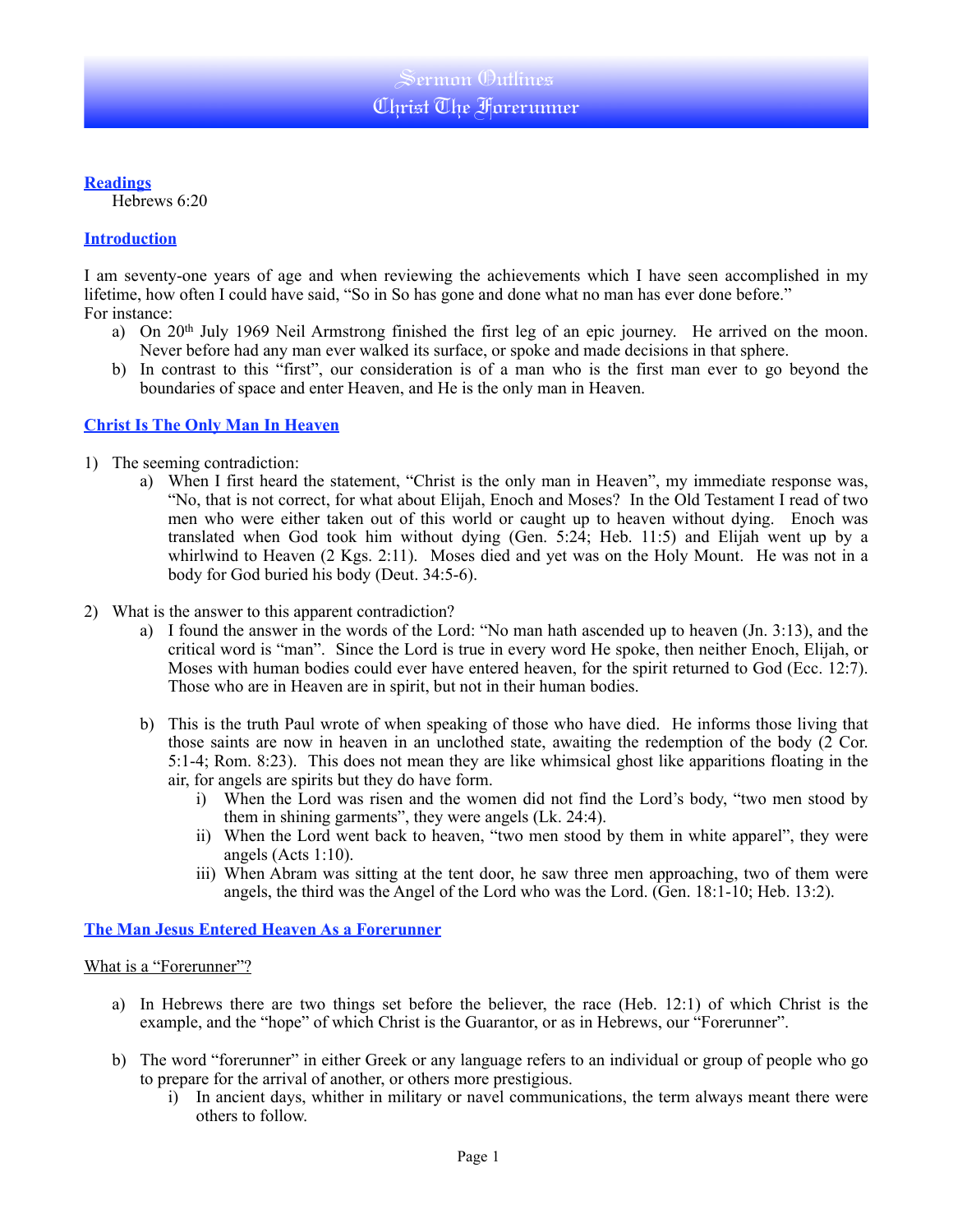# **Readings**

Hebrews 6:20

# **Introduction**

I am seventy-one years of age and when reviewing the achievements which I have seen accomplished in my lifetime, how often I could have said, "So in So has gone and done what no man has ever done before." For instance:

- a) On 20<sup>th</sup> July 1969 Neil Armstrong finished the first leg of an epic journey. He arrived on the moon. Never before had any man ever walked its surface, or spoke and made decisions in that sphere.
- b) In contrast to this "first", our consideration is of a man who is the first man ever to go beyond the boundaries of space and enter Heaven, and He is the only man in Heaven.

### **Christ Is The Only Man In Heaven**

- 1) The seeming contradiction:
	- a) When I first heard the statement, "Christ is the only man in Heaven", my immediate response was, "No, that is not correct, for what about Elijah, Enoch and Moses? In the Old Testament I read of two men who were either taken out of this world or caught up to heaven without dying. Enoch was translated when God took him without dying (Gen. 5:24; Heb. 11:5) and Elijah went up by a whirlwind to Heaven (2 Kgs. 2:11). Moses died and yet was on the Holy Mount. He was not in a body for God buried his body (Deut. 34:5-6).
- 2) What is the answer to this apparent contradiction?
	- a) I found the answer in the words of the Lord: "No man hath ascended up to heaven (Jn. 3:13), and the critical word is "man". Since the Lord is true in every word He spoke, then neither Enoch, Elijah, or Moses with human bodies could ever have entered heaven, for the spirit returned to God (Ecc. 12:7). Those who are in Heaven are in spirit, but not in their human bodies.
	- b) This is the truth Paul wrote of when speaking of those who have died. He informs those living that those saints are now in heaven in an unclothed state, awaiting the redemption of the body (2 Cor. 5:1-4; Rom. 8:23). This does not mean they are like whimsical ghost like apparitions floating in the air, for angels are spirits but they do have form.
		- i) When the Lord was risen and the women did not find the Lord's body, "two men stood by them in shining garments", they were angels (Lk. 24:4).
		- ii) When the Lord went back to heaven, "two men stood by them in white apparel", they were angels (Acts 1:10).
		- iii) When Abram was sitting at the tent door, he saw three men approaching, two of them were angels, the third was the Angel of the Lord who was the Lord. (Gen. 18:1-10; Heb. 13:2).

# **The Man Jesus Entered Heaven As a Forerunner**

### What is a "Forerunner"?

- a) In Hebrews there are two things set before the believer, the race (Heb. 12:1) of which Christ is the example, and the "hope" of which Christ is the Guarantor, or as in Hebrews, our "Forerunner".
- b) The word "forerunner" in either Greek or any language refers to an individual or group of people who go to prepare for the arrival of another, or others more prestigious.
	- i) In ancient days, whither in military or navel communications, the term always meant there were others to follow.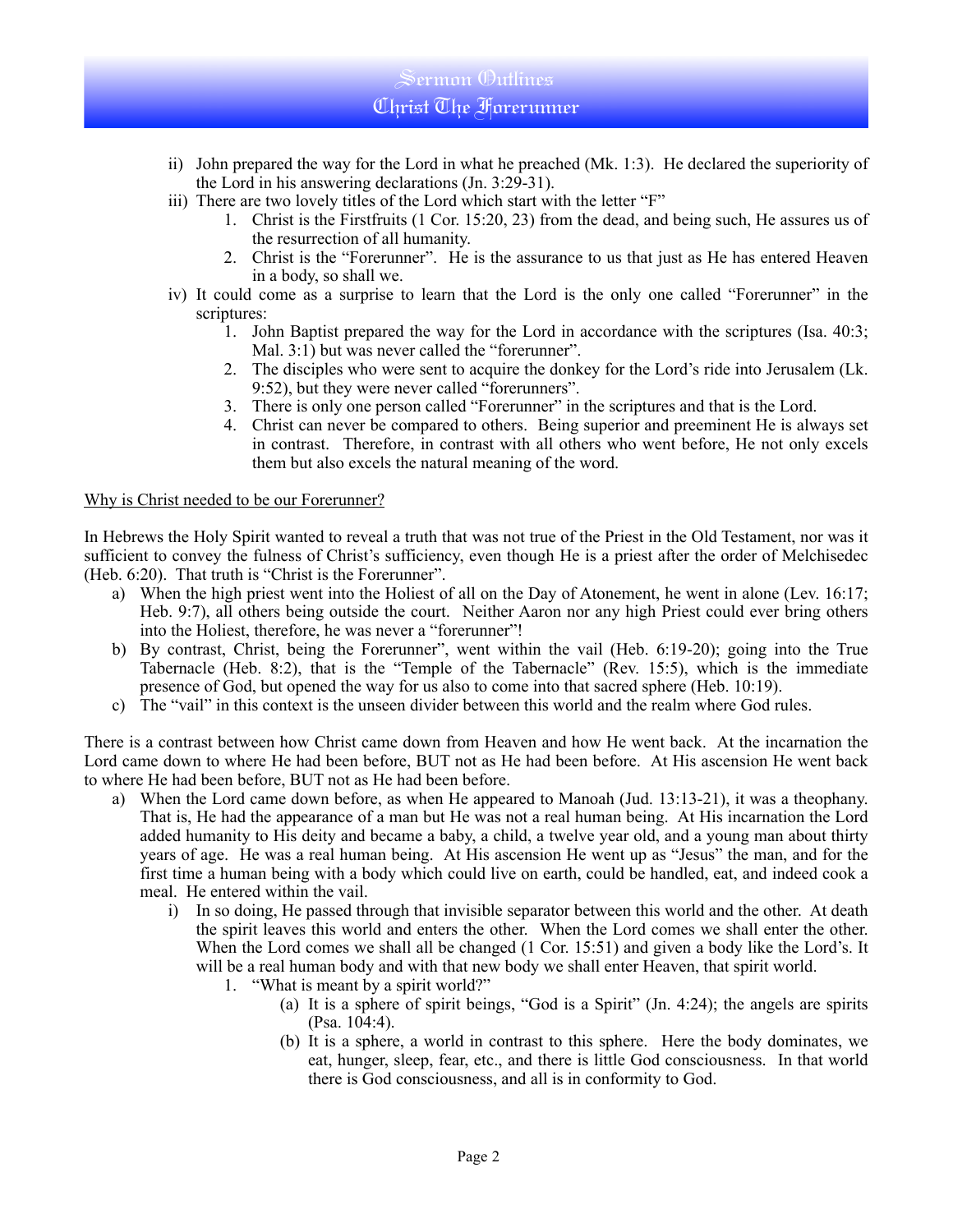# Sermon Outlines Christ The Forerunner

- ii) John prepared the way for the Lord in what he preached (Mk. 1:3). He declared the superiority of the Lord in his answering declarations (Jn. 3:29-31).
- iii) There are two lovely titles of the Lord which start with the letter "F"
	- 1. Christ is the Firstfruits (1 Cor. 15:20, 23) from the dead, and being such, He assures us of the resurrection of all humanity.
	- 2. Christ is the "Forerunner". He is the assurance to us that just as He has entered Heaven in a body, so shall we.
- iv) It could come as a surprise to learn that the Lord is the only one called "Forerunner" in the scriptures:
	- 1. John Baptist prepared the way for the Lord in accordance with the scriptures (Isa. 40:3; Mal. 3:1) but was never called the "forerunner".
	- 2. The disciples who were sent to acquire the donkey for the Lord's ride into Jerusalem (Lk. 9:52), but they were never called "forerunners".
	- 3. There is only one person called "Forerunner" in the scriptures and that is the Lord.
	- 4. Christ can never be compared to others. Being superior and preeminent He is always set in contrast. Therefore, in contrast with all others who went before, He not only excels them but also excels the natural meaning of the word.

### Why is Christ needed to be our Forerunner?

In Hebrews the Holy Spirit wanted to reveal a truth that was not true of the Priest in the Old Testament, nor was it sufficient to convey the fulness of Christ's sufficiency, even though He is a priest after the order of Melchisedec (Heb. 6:20). That truth is "Christ is the Forerunner".

- a) When the high priest went into the Holiest of all on the Day of Atonement, he went in alone (Lev. 16:17; Heb. 9:7), all others being outside the court. Neither Aaron nor any high Priest could ever bring others into the Holiest, therefore, he was never a "forerunner"!
- b) By contrast, Christ, being the Forerunner", went within the vail (Heb. 6:19-20); going into the True Tabernacle (Heb. 8:2), that is the "Temple of the Tabernacle" (Rev. 15:5), which is the immediate presence of God, but opened the way for us also to come into that sacred sphere (Heb. 10:19).
- c) The "vail" in this context is the unseen divider between this world and the realm where God rules.

There is a contrast between how Christ came down from Heaven and how He went back. At the incarnation the Lord came down to where He had been before, BUT not as He had been before. At His ascension He went back to where He had been before, BUT not as He had been before.

- a) When the Lord came down before, as when He appeared to Manoah (Jud. 13:13-21), it was a theophany. That is, He had the appearance of a man but He was not a real human being. At His incarnation the Lord added humanity to His deity and became a baby, a child, a twelve year old, and a young man about thirty years of age. He was a real human being. At His ascension He went up as "Jesus" the man, and for the first time a human being with a body which could live on earth, could be handled, eat, and indeed cook a meal. He entered within the vail.
	- i) In so doing, He passed through that invisible separator between this world and the other. At death the spirit leaves this world and enters the other. When the Lord comes we shall enter the other. When the Lord comes we shall all be changed (1 Cor. 15:51) and given a body like the Lord's. It will be a real human body and with that new body we shall enter Heaven, that spirit world.
		- 1. "What is meant by a spirit world?"
			- (a) It is a sphere of spirit beings, "God is a Spirit" (Jn. 4:24); the angels are spirits (Psa. 104:4).
			- (b) It is a sphere, a world in contrast to this sphere. Here the body dominates, we eat, hunger, sleep, fear, etc., and there is little God consciousness. In that world there is God consciousness, and all is in conformity to God.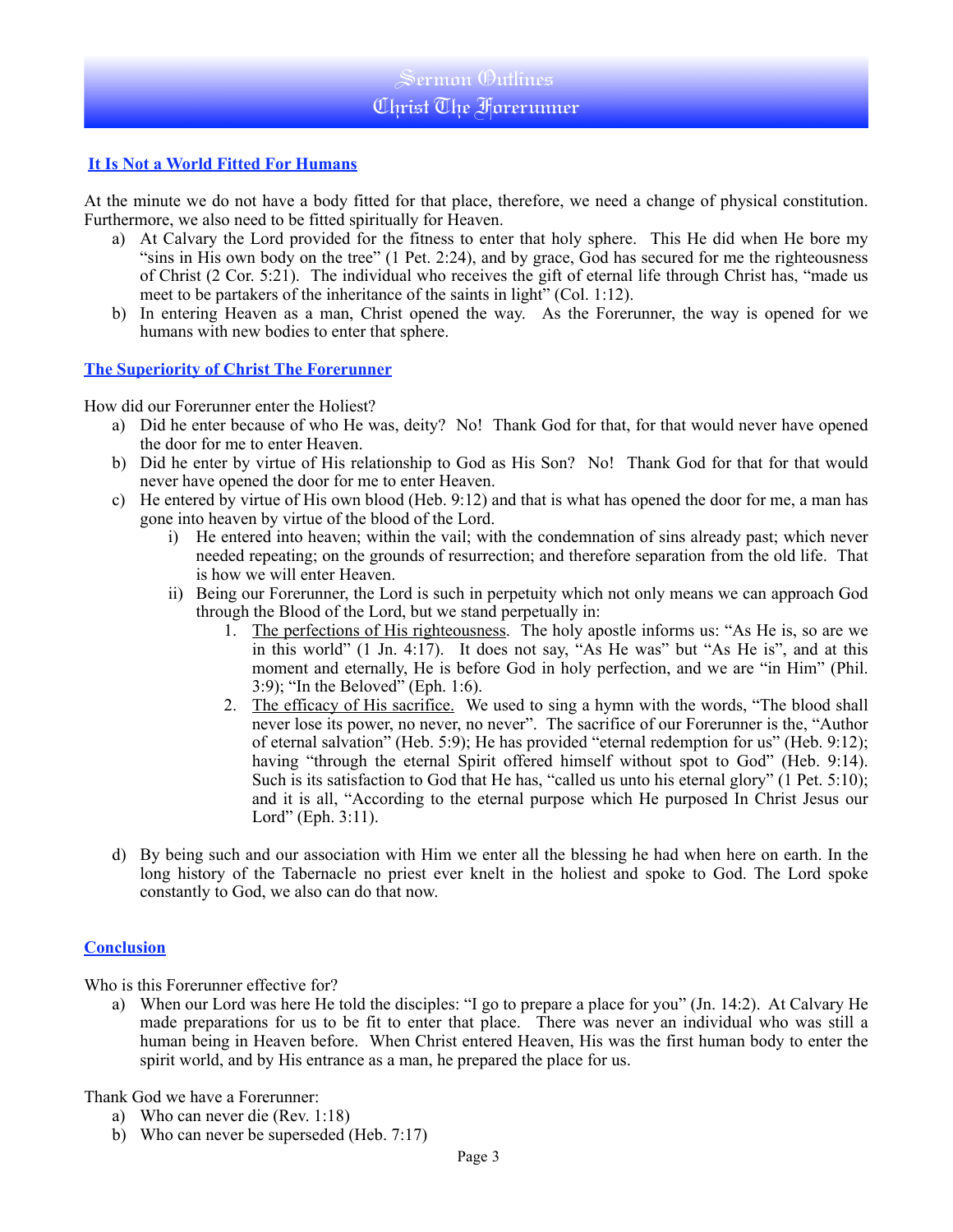# Sermon Outlines Christ The Forerunner

### **It Is Not a World Fitted For Humans**

At the minute we do not have a body fitted for that place, therefore, we need a change of physical constitution. Furthermore, we also need to be fitted spiritually for Heaven.

- a) At Calvary the Lord provided for the fitness to enter that holy sphere. This He did when He bore my "sins in His own body on the tree" (1 Pet. 2:24), and by grace, God has secured for me the righteousness of Christ (2 Cor. 5:21). The individual who receives the gift of eternal life through Christ has, "made us meet to be partakers of the inheritance of the saints in light" (Col. 1:12).
- b) In entering Heaven as a man, Christ opened the way. As the Forerunner, the way is opened for we humans with new bodies to enter that sphere.

#### **The Superiority of Christ The Forerunner**

How did our Forerunner enter the Holiest?

- a) Did he enter because of who He was, deity? No! Thank God for that, for that would never have opened the door for me to enter Heaven.
- b) Did he enter by virtue of His relationship to God as His Son? No! Thank God for that for that would never have opened the door for me to enter Heaven.
- c) He entered by virtue of His own blood (Heb. 9:12) and that is what has opened the door for me, a man has gone into heaven by virtue of the blood of the Lord.
	- i) He entered into heaven; within the vail; with the condemnation of sins already past; which never needed repeating; on the grounds of resurrection; and therefore separation from the old life. That is how we will enter Heaven.
	- ii) Being our Forerunner, the Lord is such in perpetuity which not only means we can approach God through the Blood of the Lord, but we stand perpetually in:
		- 1. The perfections of His righteousness. The holy apostle informs us: "As He is, so are we in this world" (1 Jn. 4:17). It does not say, "As He was" but "As He is", and at this moment and eternally, He is before God in holy perfection, and we are "in Him" (Phil. 3:9); "In the Beloved" (Eph. 1:6).
		- 2. The efficacy of His sacrifice. We used to sing a hymn with the words, "The blood shall never lose its power, no never, no never". The sacrifice of our Forerunner is the, "Author of eternal salvation" (Heb. 5:9); He has provided "eternal redemption for us" (Heb. 9:12); having "through the eternal Spirit offered himself without spot to God" (Heb. 9:14). Such is its satisfaction to God that He has, "called us unto his eternal glory" (1 Pet. 5:10); and it is all, "According to the eternal purpose which He purposed In Christ Jesus our Lord" (Eph. 3:11).
- d) By being such and our association with Him we enter all the blessing he had when here on earth. In the long history of the Tabernacle no priest ever knelt in the holiest and spoke to God. The Lord spoke constantly to God, we also can do that now.

#### **Conclusion**

Who is this Forerunner effective for?

a) When our Lord was here He told the disciples: "I go to prepare a place for you" (Jn. 14:2). At Calvary He made preparations for us to be fit to enter that place. There was never an individual who was still a human being in Heaven before. When Christ entered Heaven, His was the first human body to enter the spirit world, and by His entrance as a man, he prepared the place for us.

Thank God we have a Forerunner:

- a) Who can never die (Rev. 1:18)
- b) Who can never be superseded (Heb. 7:17)